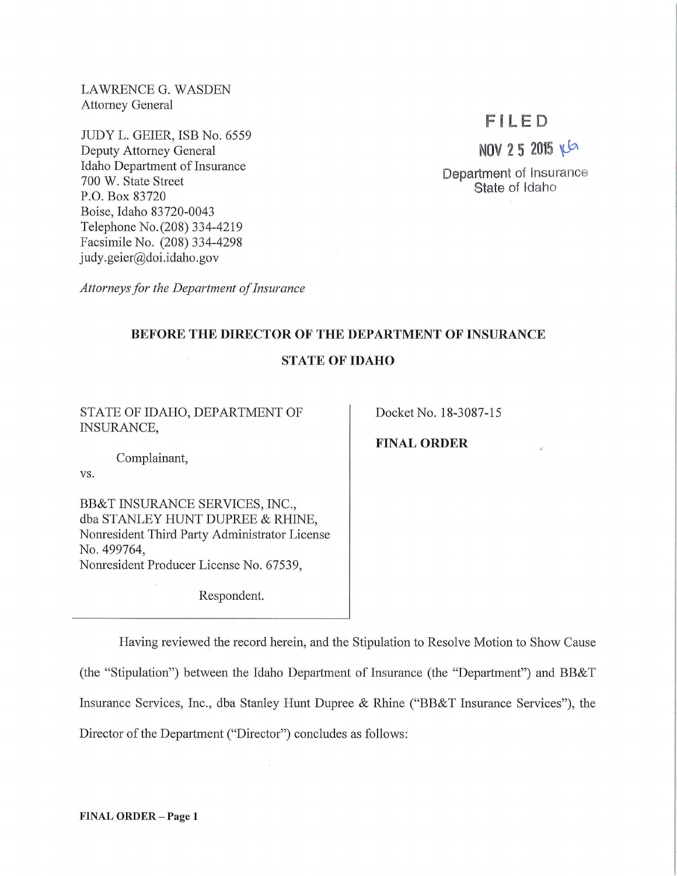LAWRENCE G. WASDEN Attorney General

JUDY L. GEIER, ISB No. 6559 Deputy Attorney General Idaho Department of Insurance 700 W. State Street P.O. Box 83720 Boise, Idaho 83720-0043 Telephone No.(208) 334-4219 Facsimile No. (208) 334-4298 judy.geier@doi.idaho.gov

*Attorneys for the Department of Insurance* 

## **F i LED**

**NOV 2 5 2015** ~

**Department** of Insurance **State** of Idaho

## **BEFORE THE DIRECTOR OF THE DEPARTMENT OF INSURANCE**

## **STATE OF IDAHO**

STATE OF IDAHO, DEPARTMENT OF INSURANCE,

Docket No. 18-3087-15

**FINAL ORDER** 

Complainant,

vs.

BB&T INSURANCE SERVICES, INC., dba STANLEY HUNT DUPREE & RHINE, Nonresident Third Party Administrator License No. 499764, Nomesident Producer License No. 67539,

Respondent.

Having reviewed the record herein, and the Stipulation to Resolve Motion to Show Cause (the "Stipulation") between the Idaho Department of Insurance (the "Department") and BB&T Insurance Services, Inc., dba Stanley Hunt Dupree & Rhine ("BB&T Insurance Services"), the Director of the Department ("Director") concludes as follows:

**FINAL ORDER** - Page **1**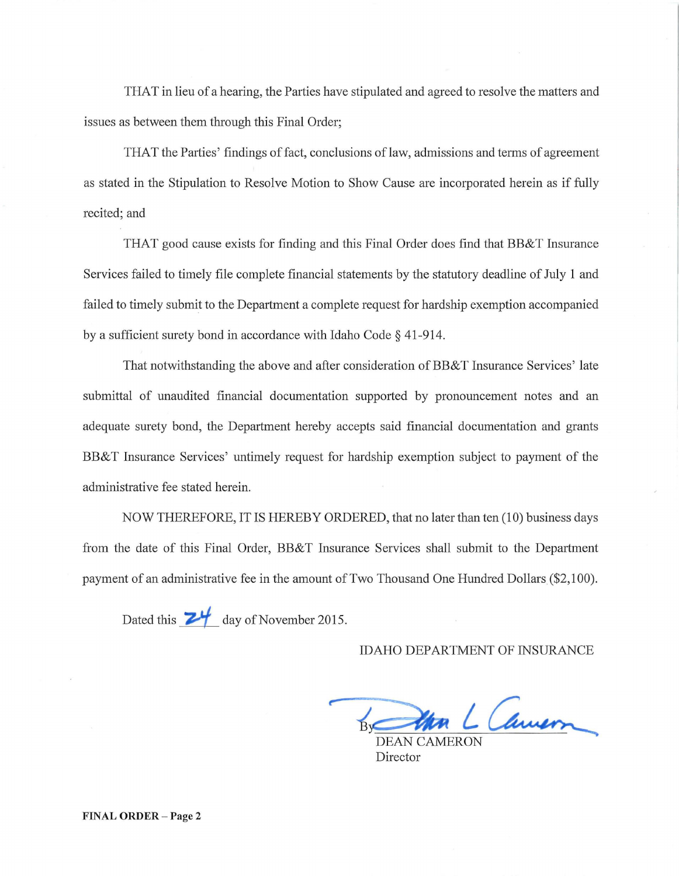THAT in lieu of a hearing, the Parties have stipulated and agreed to resolve the matters and issues as between them through this Final Order;

THAT the Parties' findings of fact, conclusions of law, admissions and terms of agreement as stated in the Stipulation to Resolve Motion to Show Cause are incorporated herein as if fully recited; and

THAT good cause exists for finding and this Final Order does find that BB&T Insurance Services failed to timely file complete financial statements by the statutory deadline of July 1 and failed to timely submit to the Department a complete request for hardship exemption accompanied by a sufficient surety bond in accordance with Idaho Code§ 41-914.

That notwithstanding the above and after consideration of BB&T Insurance Services' late submittal of unaudited financial documentation supported by pronouncement notes and an adequate surety bond, the Department hereby accepts said financial documentation and grants BB&T Insurance Services' untimely request for hardship exemption subject to payment of the administrative fee stated herein.

NOW THEREFORE, IT IS HEREBY ORDERED, that no later than ten (10) business days from the date of this Final Order, BB&T Insurance Services shall submit to the Department payment of an administrative fee in the amount of Two Thousand One Hundred Dollars (\$2, 100).

Dated this **24** day of November 2015.

IDAHO DEPARTMENT OF INSURANCE

By Um L Camer

Director

FINAL **ORDER-** Page 2